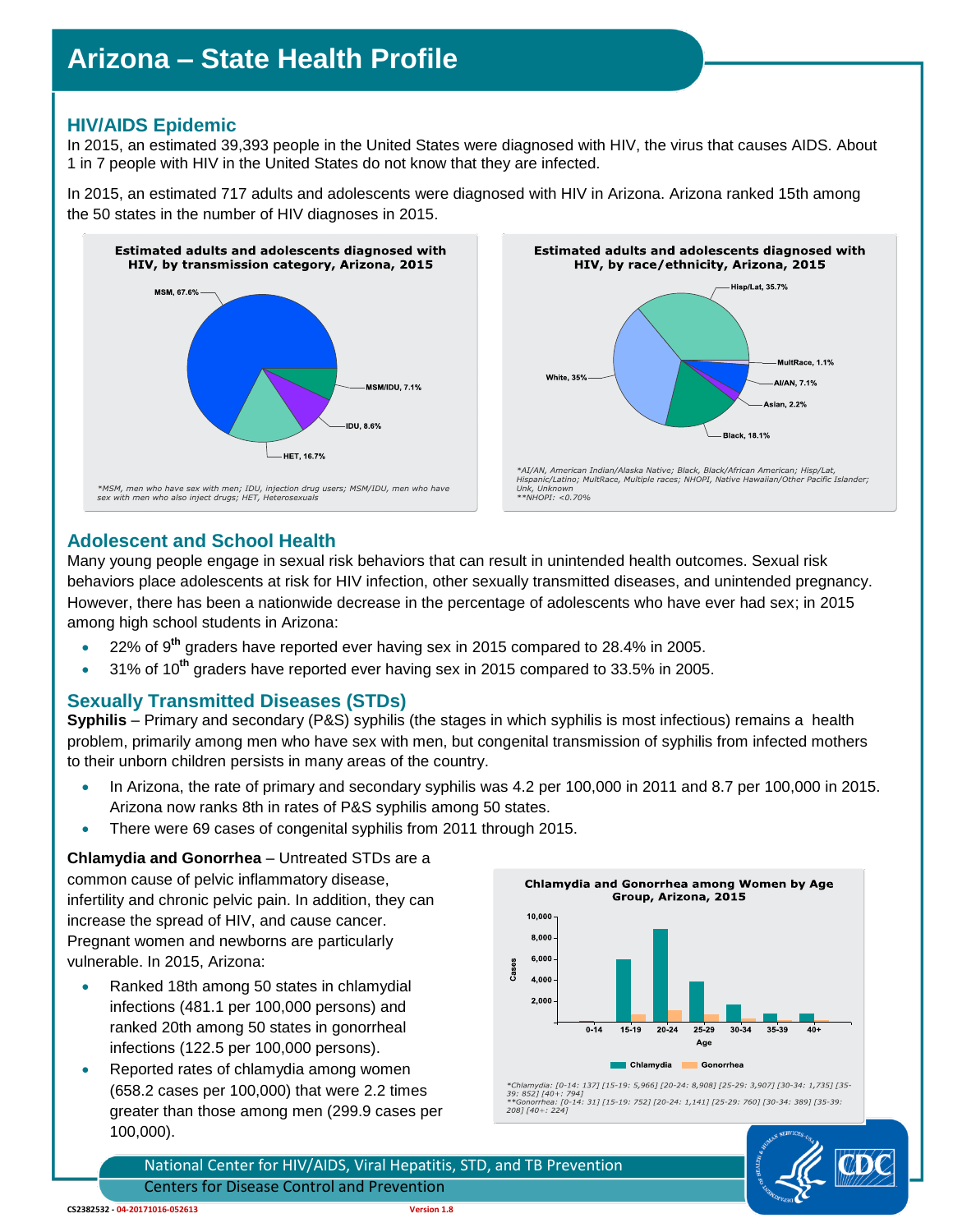# **Arizona – State Health Profile**

### **HIV/AIDS Epidemic**

In 2015, an estimated 39,393 people in the United States were diagnosed with HIV, the virus that causes AIDS. About 1 in 7 people with HIV in the United States do not know that they are infected.

In 2015, an estimated 717 adults and adolescents were diagnosed with HIV in Arizona. Arizona ranked 15th among the 50 states in the number of HIV diagnoses in 2015.





#### **Adolescent and School Health**

Many young people engage in sexual risk behaviors that can result in unintended health outcomes. Sexual risk behaviors place adolescents at risk for HIV infection, other sexually transmitted diseases, and unintended pregnancy. However, there has been a nationwide decrease in the percentage of adolescents who have ever had sex; in 2015 among high school students in Arizona:

- 22% of 9**th** graders have reported ever having sex in 2015 compared to 28.4% in 2005.
- 31% of 10**th** graders have reported ever having sex in 2015 compared to 33.5% in 2005.

#### **Sexually Transmitted Diseases (STDs)**

**Syphilis** – Primary and secondary (P&S) syphilis (the stages in which syphilis is most infectious) remains a health problem, primarily among men who have sex with men, but congenital transmission of syphilis from infected mothers to their unborn children persists in many areas of the country.

- In Arizona, the rate of primary and secondary syphilis was 4.2 per 100,000 in 2011 and 8.7 per 100,000 in 2015. Arizona now ranks 8th in rates of P&S syphilis among 50 states.
- There were 69 cases of congenital syphilis from 2011 through 2015.

**Chlamydia and Gonorrhea** – Untreated STDs are a common cause of pelvic inflammatory disease, infertility and chronic pelvic pain. In addition, they can increase the spread of HIV, and cause cancer. Pregnant women and newborns are particularly vulnerable. In 2015, Arizona:

- Ranked 18th among 50 states in chlamydial infections (481.1 per 100,000 persons) and ranked 20th among 50 states in gonorrheal infections (122.5 per 100,000 persons).
- Reported rates of chlamydia among women (658.2 cases per 100,000) that were 2.2 times greater than those among men (299.9 cases per 100,000).



-<br>Chlamydia: [0-14: 137] [15-19: 5,966] [20-24: 8,908] [25-29: 3,907] [30-34: 1,735] [35-\*Chlamydia: [0-14: 137] [15-19: 5,966] [20-24: 8,908] [25-29: 3,907] [30-34: 1,735] [3<br>39: 852] [40+: 794]<br>\*\*Conorrhea: [0-14: 31] [15-19: 752] [20-24: 1,141] [25-29: 760] [30-34: 389] [35-39:<br>208] [40+: 224]

National Center for HIV/AIDS, Viral Hepatitis, STD, and TB Prevention Centers for Disease Control and Prevention